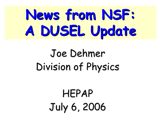# **News from NSF: News from NSF: A DUSEL Update A DUSEL Update**

## Joe Dehmer Division of Physics

# HEPAP July 6, 2006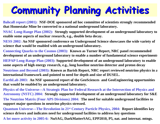#### **Community Planning Activities Community Planning Activities**

**Bahcall report (2001): NSF-DOE sponsored ad hoc committee of scientists strongly recommended that Homestake Mine be converted to a national underground laboratory.**

**NSAC Long-Range Plan (2002): Strongly supported development of an underground laboratory to enable some aspects of nuclear research, e.g., double beta decay.**

**NESS 2002: An NSF sponsored conference on Underground Science showcases the wide variety of science that would be enabled with an underground laboratory.**

**Connecting Quarks to the Cosmos (2003): Known as Turner Report, NRC panel recommended development of an underground laboratory to enable a number of fundamental science experiment s**

**HEPAP Long-Range Plan (2003): Supported development of an underground laboratory to enable some aspects of high energy research, e.g., long baseline neutrino detector and proton decay**

**Neutrinos and Beyond (2003): Known as Barish Report, NRC report reviewed neutrino ph ysics in a international framework and pointed to need for depth and size of DUSEL.**

**EarthLab 2003: An NSF sponsored report of the GeoSciences and GeoEngineering opportunities that would be enabled by an underground laboratory.**

**Physics of the Universe—A Strategic Plan for Federal Research at the Intersection of Physics and Astronomy (NSTC) 2004: Strongly supported development of an underground laboratory for S&E**

**The Neutrino Matrix (Four APS Divisions) 2004: The need for suitable underground facilities to support major questions in neutrino physics stressed.**

**Quantum Universe—The Revolution in 21st Century Particle Physics, 2004: Report identifies key science drivers and indicates need for underground facilities to address key questions**

**A lot more activity in 2005-6: NuSAG, DarkMatterSAG, EPP2010, P5, nat. and internat. mtngs.**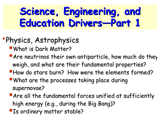#### **Science, Engineering, and Science, Engineering, and Education Drivers Education Drivers —Part 1**

#### **•Physics, Astrophysics**

**What is Dark Matter?** 

- $\blacksquare$  Are neutrinos their own antiparticle, how much do they weigh, and what are their fundamental properties?
- How do stars burn? How were the elements formed?
- What are the processes taking place during supernovae?
- $\blacksquare$  Are all the fundamental forces unified at sufficiently high energy (e.g., during the Big Bang)?
- **Is ordinary matter stable?**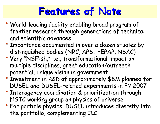#### **Features of Note Features of Note**

- World-leading facility enabling broad program of frontier research through generations of technical and scientific advances
- Importance documented in over a dozen studies by distinguished bodies (NRC, APS, HEPAP, NSAC)
- Very "NSF'ish," i.e., transformational impact on multiple disciplines, great education/outreach potential, unique vision in government
- Investment in R&D of approximately \$6M planned for DUSEL and DUSEL-related experiments in FY 2007
- Interagency coordination & prioritization through NSTC working group on physics of universe
- For particle physics, DUSEL introduces diversity into the portfolio, complementing ILC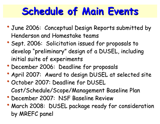#### **Schedule of Main Events Schedule of Main Events**

- June 2006: Conceptual Design Reports submitted by Henderson and Homestake teams
- Sept. 2006: Solicitation issued for proposals to develop "preliminary" design of a DUSEL, including initial suite of experiments
- December 2006: Deadline for proposals
- April 2007: Award to design DUSEL at selected site
- October 2007: Deadline for DUSEL Cost/Schedule/Scope/Management Baseline Plan
- December 2007: NSF Baseline Review
- March 2008: DUSEL package ready for consideration by MREFC panel